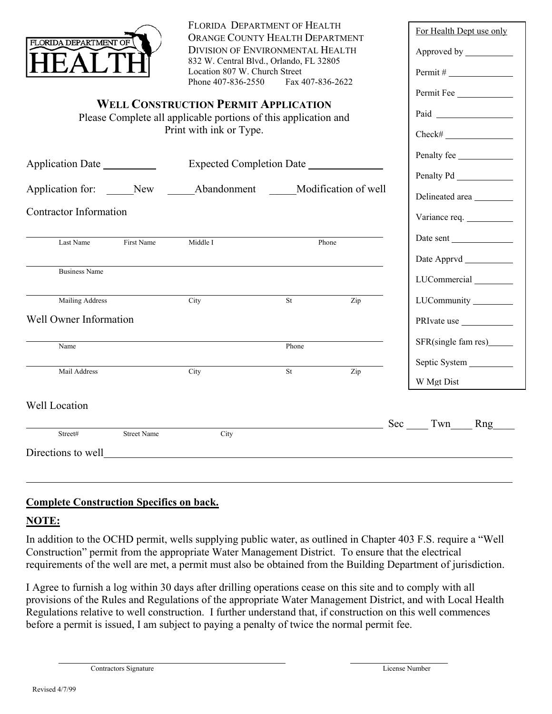|                                                                                                                                           |                                                       | FLORIDA DEPARTMENT OF HEALTH                                                                                         | ORANGE COUNTY HEALTH DEPARTMENT |                  |  | For Health Dept use only    |  |  |
|-------------------------------------------------------------------------------------------------------------------------------------------|-------------------------------------------------------|----------------------------------------------------------------------------------------------------------------------|---------------------------------|------------------|--|-----------------------------|--|--|
| FLORIDA DEPARTMENT OF                                                                                                                     |                                                       | <b>DIVISION OF ENVIRONMENTAL HEALTH</b><br>832 W. Central Blvd., Orlando, FL 32805<br>Location 807 W. Church Street  |                                 |                  |  |                             |  |  |
|                                                                                                                                           |                                                       |                                                                                                                      |                                 |                  |  |                             |  |  |
| Phone 407-836-2550<br>Fax 407-836-2622                                                                                                    |                                                       |                                                                                                                      |                                 |                  |  | Permit Fee                  |  |  |
| <b>WELL CONSTRUCTION PERMIT APPLICATION</b><br>Please Complete all applicable portions of this application and<br>Print with ink or Type. |                                                       |                                                                                                                      |                                 |                  |  |                             |  |  |
|                                                                                                                                           |                                                       |                                                                                                                      |                                 |                  |  | $Check \#$                  |  |  |
|                                                                                                                                           |                                                       |                                                                                                                      |                                 |                  |  | Penalty fee                 |  |  |
| Application Date                                                                                                                          |                                                       |                                                                                                                      |                                 |                  |  |                             |  |  |
|                                                                                                                                           | Application for: New Abandonment Modification of well |                                                                                                                      |                                 |                  |  | Delineated area             |  |  |
| <b>Contractor Information</b>                                                                                                             |                                                       |                                                                                                                      |                                 |                  |  |                             |  |  |
| Last Name                                                                                                                                 | First Name                                            | Middle I                                                                                                             | Phone                           |                  |  | Date sent                   |  |  |
|                                                                                                                                           |                                                       |                                                                                                                      |                                 |                  |  | Date Apprvd ____________    |  |  |
| <b>Business Name</b>                                                                                                                      |                                                       |                                                                                                                      |                                 |                  |  | LUCommercial                |  |  |
| Mailing Address                                                                                                                           |                                                       | City                                                                                                                 | St                              | $\overline{Zip}$ |  | LUCommunity                 |  |  |
| Well Owner Information                                                                                                                    |                                                       |                                                                                                                      |                                 |                  |  | PRIvate use                 |  |  |
| Name                                                                                                                                      |                                                       |                                                                                                                      | Phone                           |                  |  | SFR(single fam res)________ |  |  |
| Mail Address                                                                                                                              |                                                       | City                                                                                                                 | St                              | Zip              |  | Septic System               |  |  |
|                                                                                                                                           |                                                       |                                                                                                                      |                                 |                  |  | W Mgt Dist                  |  |  |
| Well Location                                                                                                                             |                                                       |                                                                                                                      |                                 |                  |  |                             |  |  |
| Street#                                                                                                                                   | <b>Street Name</b>                                    | City                                                                                                                 |                                 |                  |  | Sec Twn Rng                 |  |  |
| Directions to well                                                                                                                        |                                                       | <u> 1980 - Jan Stein Stein Stein Stein Stein Stein Stein Stein Stein Stein Stein Stein Stein Stein Stein Stein S</u> |                                 |                  |  |                             |  |  |
|                                                                                                                                           |                                                       |                                                                                                                      |                                 |                  |  |                             |  |  |

## **Complete Construction Specifics on back.**

## **NOTE:**

 $\overline{a}$ 

In addition to the OCHD permit, wells supplying public water, as outlined in Chapter 403 F.S. require a "Well Construction" permit from the appropriate Water Management District. To ensure that the electrical requirements of the well are met, a permit must also be obtained from the Building Department of jurisdiction.

I Agree to furnish a log within 30 days after drilling operations cease on this site and to comply with all provisions of the Rules and Regulations of the appropriate Water Management District, and with Local Health Regulations relative to well construction. I further understand that, if construction on this well commences before a permit is issued, I am subject to paying a penalty of twice the normal permit fee.